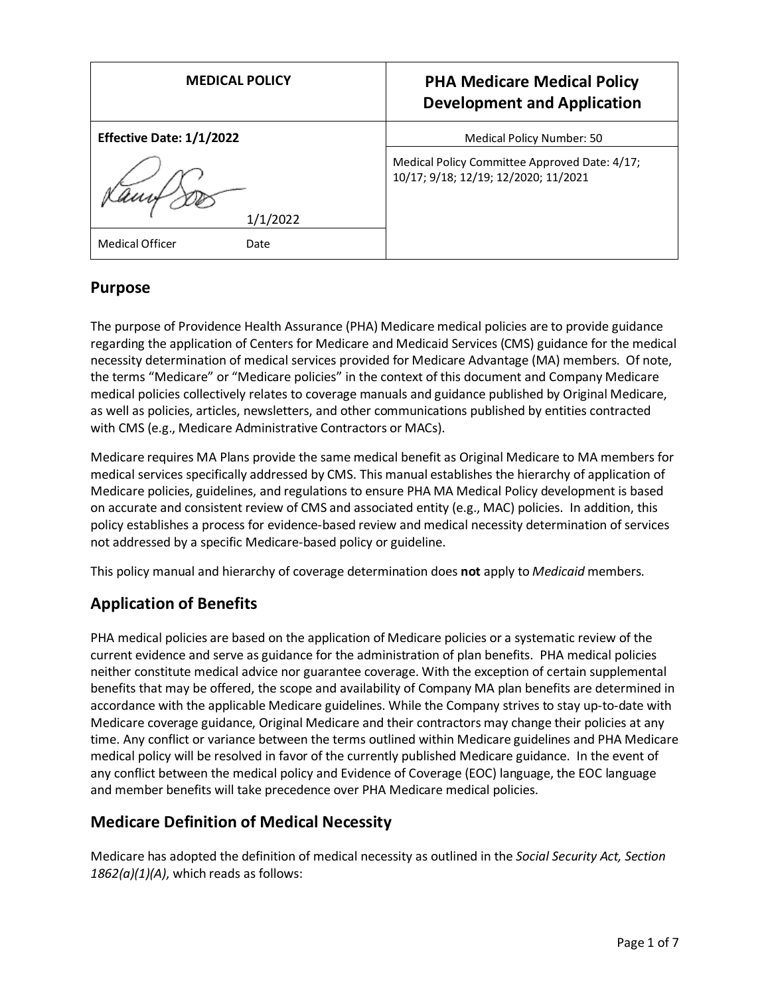| <b>MEDICAL POLICY</b>               | <b>PHA Medicare Medical Policy</b><br><b>Development and Application</b>              |
|-------------------------------------|---------------------------------------------------------------------------------------|
| Effective Date: 1/1/2022            | Medical Policy Number: 50                                                             |
|                                     | Medical Policy Committee Approved Date: 4/17;<br>10/17; 9/18; 12/19; 12/2020; 11/2021 |
| 1/1/2022<br>Medical Officer<br>Date |                                                                                       |

## **Purpose**

The purpose of Providence Health Assurance (PHA) Medicare medical policies are to provide guidance regarding the application of Centers for Medicare and Medicaid Services (CMS) guidance for the medical necessity determination of medical services provided for Medicare Advantage (MA) members. Of note, the terms "Medicare" or "Medicare policies" in the context of this document and Company Medicare medical policies collectively relates to coverage manuals and guidance published by Original Medicare, as well as policies, articles, newsletters, and other communications published by entities contracted with CMS (e.g., Medicare Administrative Contractors or MACs).

Medicare requires MA Plans provide the same medical benefit as Original Medicare to MA members for medical services specifically addressed by CMS. This manual establishes the hierarchy of application of Medicare policies, guidelines, and regulations to ensure PHA MA Medical Policy development is based on accurate and consistent review of CMS and associated entity (e.g., MAC) policies. In addition, this policy establishes a process for evidence-based review and medical necessity determination of services not addressed by a specific Medicare-based policy or guideline.

This policy manual and hierarchy of coverage determination does **not** apply to *Medicaid* members.

# **Application of Benefits**

PHA medical policies are based on the application of Medicare policies or a systematic review of the current evidence and serve as guidance for the administration of plan benefits. PHA medical policies neither constitute medical advice nor guarantee coverage. With the exception of certain supplemental benefits that may be offered, the scope and availability of Company MA plan benefits are determined in accordance with the applicable Medicare guidelines. While the Company strives to stay up-to-date with Medicare coverage guidance, Original Medicare and their contractors may change their policies at any time. Any conflict or variance between the terms outlined within Medicare guidelines and PHA Medicare medical policy will be resolved in favor of the currently published Medicare guidance. In the event of any conflict between the medical policy and Evidence of Coverage (EOC) language, the EOC language and member benefits will take precedence over PHA Medicare medical policies.

# **Medicare Definition of Medical Necessity**

Medicare has adopted the definition of medical necessity as outlined in the *Social Security Act, Section 1862(a)(1)(A)*, which reads as follows: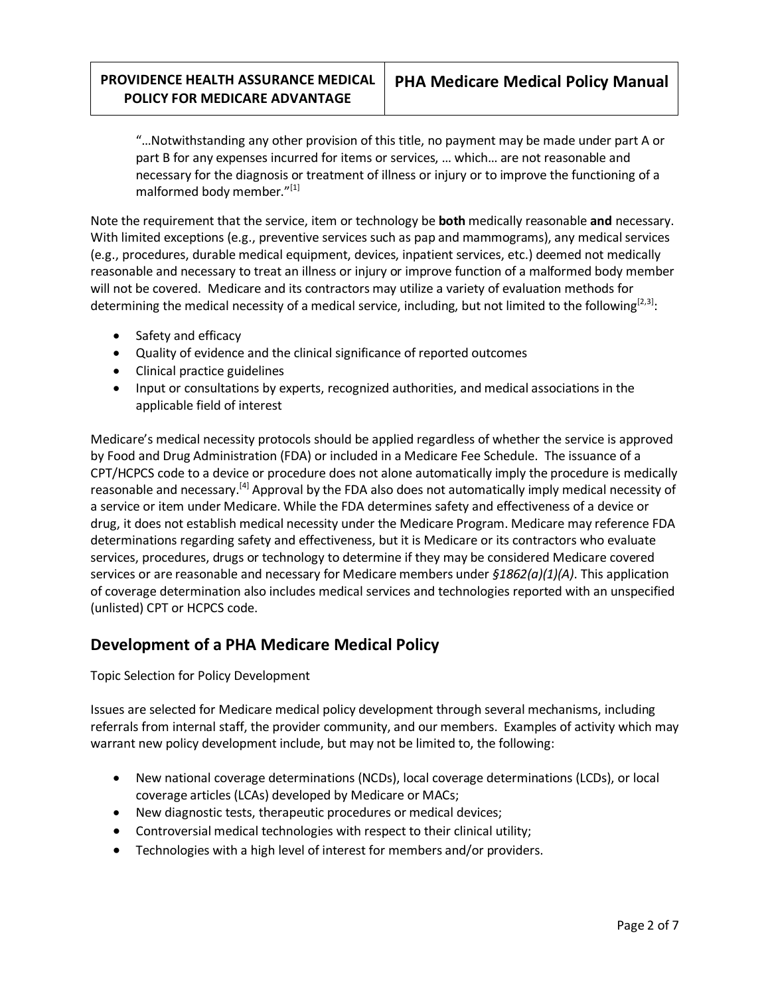"…Notwithstanding any other provision of this title, no payment may be made under part A or part B for any expenses incurred for items or services, … which… are not reasonable and necessary for the diagnosis or treatment of illness or injury or to improve the functioning of a malformed body member."[1]

Note the requirement that the service, item or technology be **both** medically reasonable **and** necessary. With limited exceptions (e.g., preventive services such as pap and mammograms), any medical services (e.g., procedures, durable medical equipment, devices, inpatient services, etc.) deemed not medically reasonable and necessary to treat an illness or injury or improve function of a malformed body member will not be covered. Medicare and its contractors may utilize a variety of evaluation methods for determining the medical necessity of a medical service, including, but not limited to the following  $[2,3]$ :

- Safety and efficacy
- Quality of evidence and the clinical significance of reported outcomes
- Clinical practice guidelines
- Input or consultations by experts, recognized authorities, and medical associations in the applicable field of interest

Medicare's medical necessity protocols should be applied regardless of whether the service is approved by Food and Drug Administration (FDA) or included in a Medicare Fee Schedule. The issuance of a CPT/HCPCS code to a device or procedure does not alone automatically imply the procedure is medically reasonable and necessary.<sup>[4]</sup> Approval by the FDA also does not automatically imply medical necessity of a service or item under Medicare. While the FDA determines safety and effectiveness of a device or drug, it does not establish medical necessity under the Medicare Program. Medicare may reference FDA determinations regarding safety and effectiveness, but it is Medicare or its contractors who evaluate services, procedures, drugs or technology to determine if they may be considered Medicare covered services or are reasonable and necessary for Medicare members under *§1862(a)(1)(A)*. This application of coverage determination also includes medical services and technologies reported with an unspecified (unlisted) CPT or HCPCS code.

## **Development of a PHA Medicare Medical Policy**

Topic Selection for Policy Development

Issues are selected for Medicare medical policy development through several mechanisms, including referrals from internal staff, the provider community, and our members. Examples of activity which may warrant new policy development include, but may not be limited to, the following:

- New national coverage determinations (NCDs), local coverage determinations (LCDs), or local coverage articles (LCAs) developed by Medicare or MACs;
- New diagnostic tests, therapeutic procedures or medical devices;
- Controversial medical technologies with respect to their clinical utility;
- Technologies with a high level of interest for members and/or providers.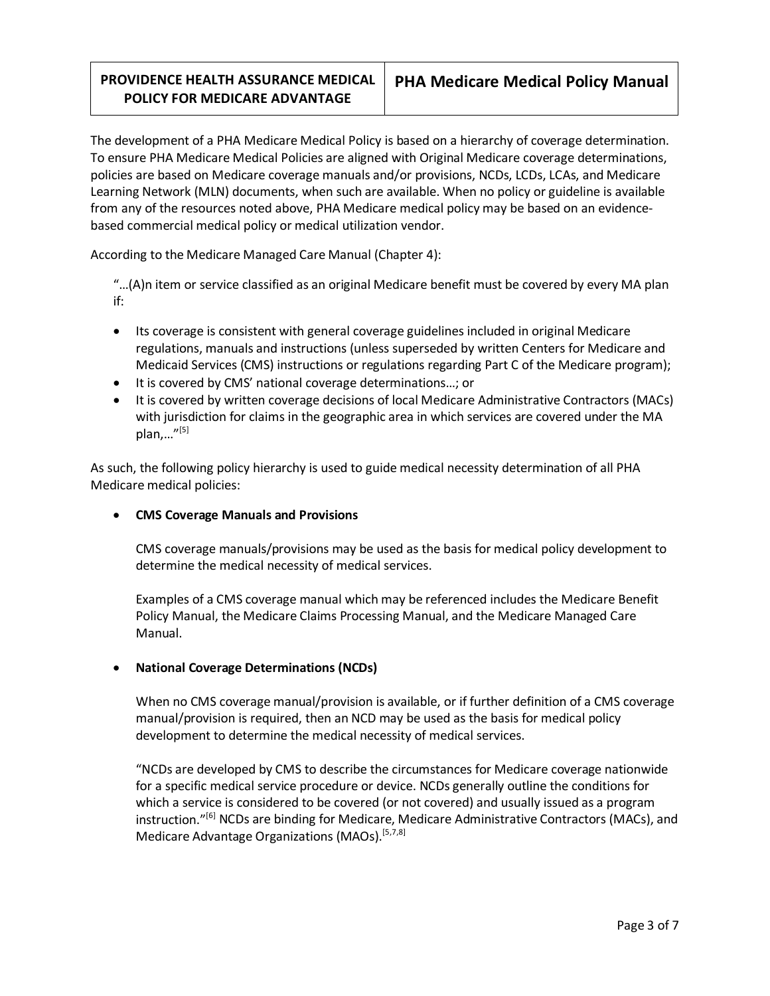The development of a PHA Medicare Medical Policy is based on a hierarchy of coverage determination. To ensure PHA Medicare Medical Policies are aligned with Original Medicare coverage determinations, policies are based on Medicare coverage manuals and/or provisions, NCDs, LCDs, LCAs, and Medicare Learning Network (MLN) documents, when such are available. When no policy or guideline is available from any of the resources noted above, PHA Medicare medical policy may be based on an evidencebased commercial medical policy or medical utilization vendor.

According to the Medicare Managed Care Manual (Chapter 4):

"…(A)n item or service classified as an original Medicare benefit must be covered by every MA plan if:

- Its coverage is consistent with general coverage guidelines included in original Medicare regulations, manuals and instructions (unless superseded by written Centers for Medicare and Medicaid Services (CMS) instructions or regulations regarding Part C of the Medicare program);
- It is covered by CMS' national coverage determinations…; or
- It is covered by written coverage decisions of local Medicare Administrative Contractors (MACs) with jurisdiction for claims in the geographic area in which services are covered under the MA plan,... $^{\prime\prime [5]}$

As such, the following policy hierarchy is used to guide medical necessity determination of all PHA Medicare medical policies:

### • **CMS Coverage Manuals and Provisions**

CMS coverage manuals/provisions may be used as the basis for medical policy development to determine the medical necessity of medical services.

Examples of a CMS coverage manual which may be referenced includes the Medicare Benefit Policy Manual, the Medicare Claims Processing Manual, and the Medicare Managed Care Manual.

### • **National Coverage Determinations (NCDs)**

When no CMS coverage manual/provision is available, or if further definition of a CMS coverage manual/provision is required, then an NCD may be used as the basis for medical policy development to determine the medical necessity of medical services.

"NCDs are developed by CMS to describe the circumstances for Medicare coverage nationwide for a specific medical service procedure or device. NCDs generally outline the conditions for which a service is considered to be covered (or not covered) and usually issued as a program instruction."<sup>[6]</sup> NCDs are binding for Medicare, Medicare Administrative Contractors (MACs), and Medicare Advantage Organizations (MAOs).<sup>[5,7,8]</sup>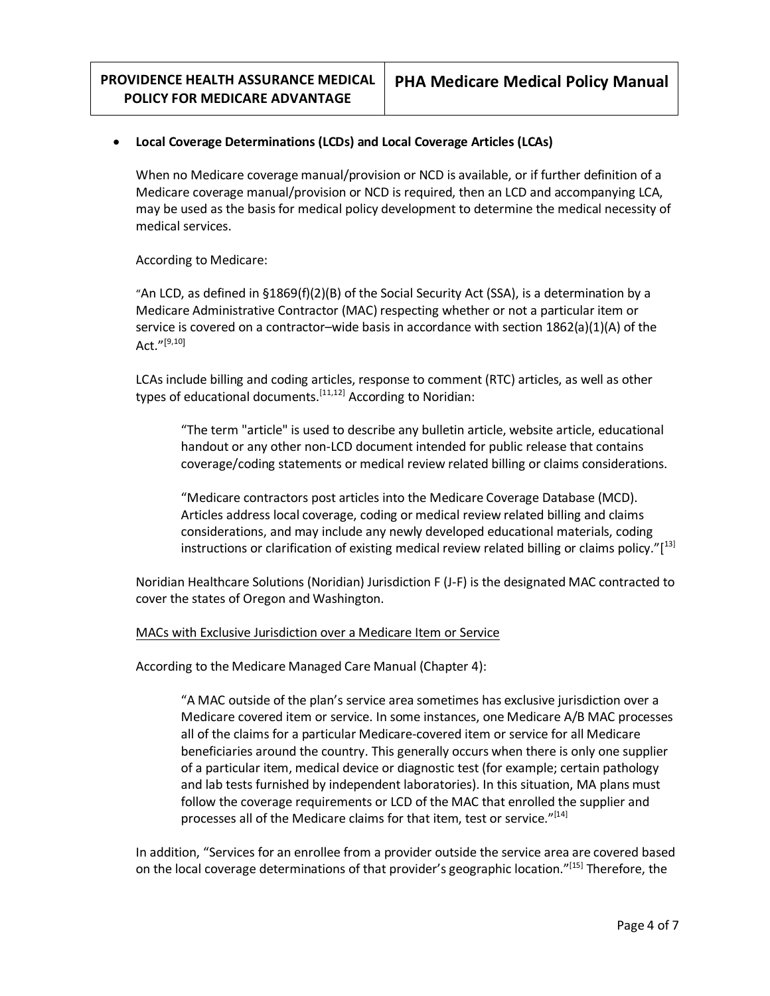### • **Local Coverage Determinations (LCDs) and Local Coverage Articles (LCAs)**

When no Medicare coverage manual/provision or NCD is available, or if further definition of a Medicare coverage manual/provision or NCD is required, then an LCD and accompanying LCA, may be used as the basis for medical policy development to determine the medical necessity of medical services.

According to Medicare:

"An LCD, as defined in §1869(f)(2)(B) of the Social Security Act (SSA), is a determination by a Medicare Administrative Contractor (MAC) respecting whether or not a particular item or service is covered on a contractor–wide basis in accordance with section 1862(a)(1)(A) of the Act." $^{[9,10]}$ 

LCAs include billing and coding articles, response to comment (RTC) articles, as well as other types of educational documents.<sup>[11,12]</sup> According to Noridian:

"The term "article" is used to describe any bulletin article, website article, educational handout or any other non-LCD document intended for public release that contains coverage/coding statements or medical review related billing or claims considerations.

"Medicare contractors post articles into the Medicare Coverage Database (MCD). Articles address local coverage, coding or medical review related billing and claims considerations, and may include any newly developed educational materials, coding instructions or clarification of existing medical review related billing or claims policy."[<sup>13]</sup>

Noridian Healthcare Solutions (Noridian) Jurisdiction F (J-F) is the designated MAC contracted to cover the states of Oregon and Washington.

#### MACs with Exclusive Jurisdiction over a Medicare Item or Service

According to the Medicare Managed Care Manual (Chapter 4):

"A MAC outside of the plan's service area sometimes has exclusive jurisdiction over a Medicare covered item or service. In some instances, one Medicare A/B MAC processes all of the claims for a particular Medicare-covered item or service for all Medicare beneficiaries around the country. This generally occurs when there is only one supplier of a particular item, medical device or diagnostic test (for example; certain pathology and lab tests furnished by independent laboratories). In this situation, MA plans must follow the coverage requirements or LCD of the MAC that enrolled the supplier and processes all of the Medicare claims for that item, test or service."<sup>[14]</sup>

In addition, "Services for an enrollee from a provider outside the service area are covered based on the local coverage determinations of that provider's geographic location."<sup>[15]</sup> Therefore, the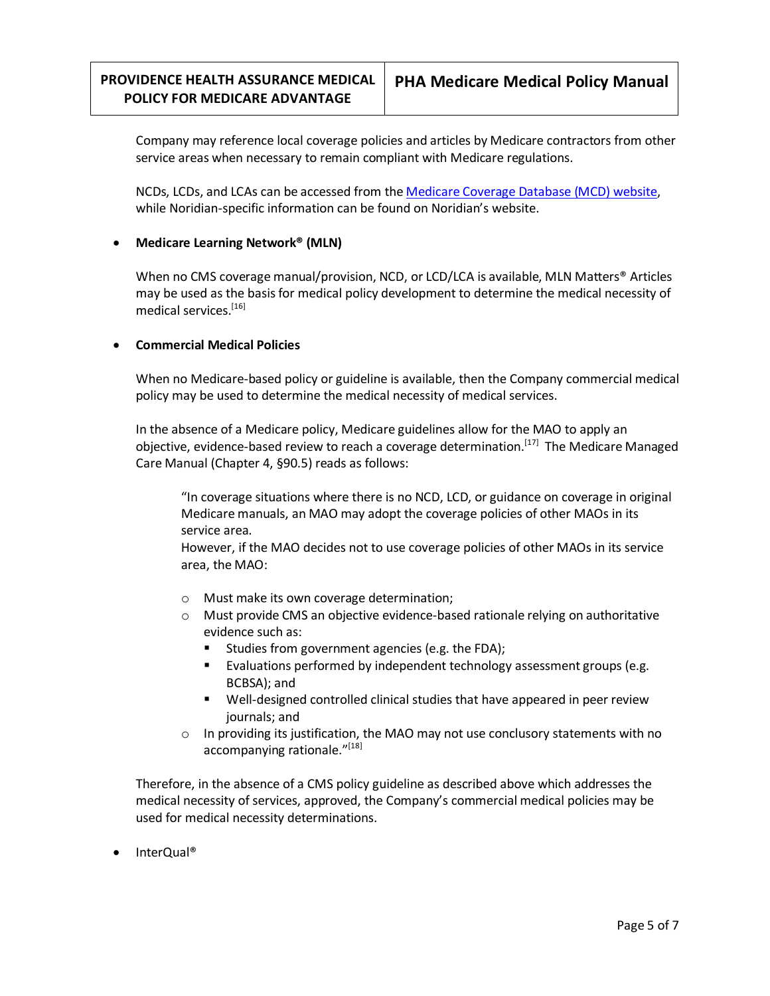Company may reference local coverage policies and articles by Medicare contractors from other service areas when necessary to remain compliant with Medicare regulations.

NCDs, LCDs, and LCAs can be accessed from the [Medicare Coverage Database](https://www.cms.gov/medicare-coverage-database/search.aspx) (MCD) website, while Noridian-specific information can be found on Noridian's website.

### • **Medicare Learning Network® (MLN)**

When no CMS coverage manual/provision, NCD, or LCD/LCA is available, MLN Matters<sup>®</sup> Articles may be used as the basis for medical policy development to determine the medical necessity of medical services.<sup>[16]</sup>

#### • **Commercial Medical Policies**

When no Medicare-based policy or guideline is available, then the Company commercial medical policy may be used to determine the medical necessity of medical services.

In the absence of a Medicare policy, Medicare guidelines allow for the MAO to apply an objective, evidence-based review to reach a coverage determination.<sup>[17]</sup> The Medicare Managed Care Manual (Chapter 4, §90.5) reads as follows:

"In coverage situations where there is no NCD, LCD, or guidance on coverage in original Medicare manuals, an MAO may adopt the coverage policies of other MAOs in its service area.

However, if the MAO decides not to use coverage policies of other MAOs in its service area, the MAO:

- o Must make its own coverage determination;
- o Must provide CMS an objective evidence-based rationale relying on authoritative evidence such as:
	- Studies from government agencies (e.g. the FDA);
	- Evaluations performed by independent technology assessment groups (e.g. BCBSA); and
	- Well-designed controlled clinical studies that have appeared in peer review journals; and
- $\circ$  In providing its justification, the MAO may not use conclusory statements with no accompanying rationale."[18]

Therefore, in the absence of a CMS policy guideline as described above which addresses the medical necessity of services, approved, the Company's commercial medical policies may be used for medical necessity determinations.

• InterQual®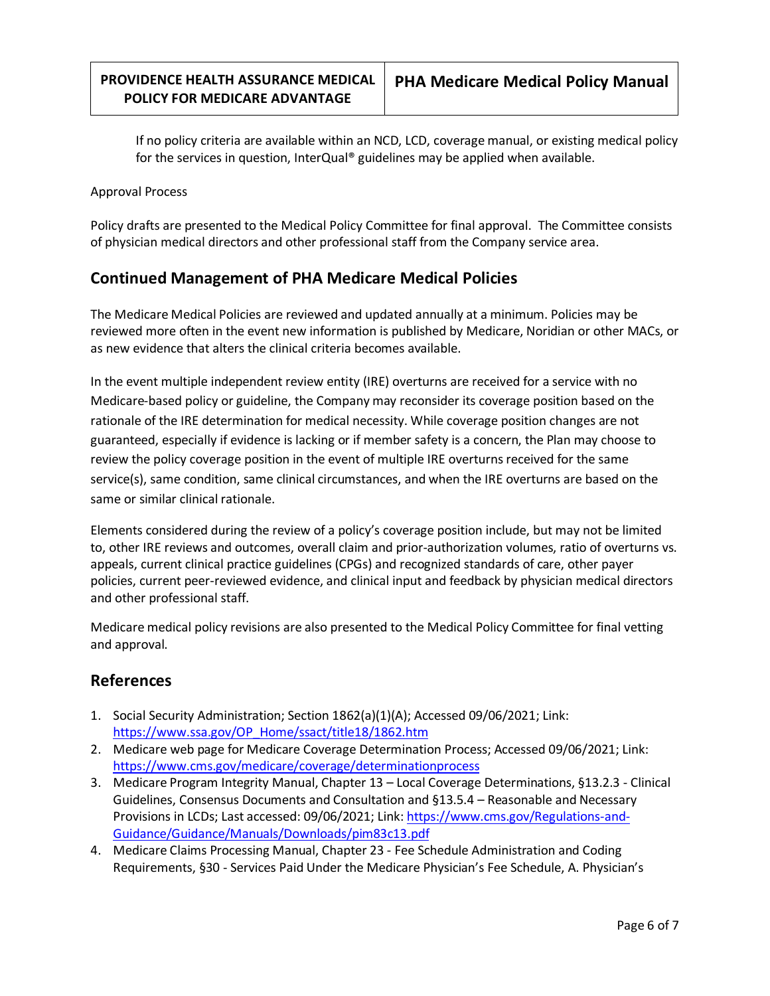If no policy criteria are available within an NCD, LCD, coverage manual, or existing medical policy for the services in question, InterQual® guidelines may be applied when available.

#### Approval Process

Policy drafts are presented to the Medical Policy Committee for final approval. The Committee consists of physician medical directors and other professional staff from the Company service area.

## **Continued Management of PHA Medicare Medical Policies**

The Medicare Medical Policies are reviewed and updated annually at a minimum. Policies may be reviewed more often in the event new information is published by Medicare, Noridian or other MACs, or as new evidence that alters the clinical criteria becomes available.

In the event multiple independent review entity (IRE) overturns are received for a service with no Medicare-based policy or guideline, the Company may reconsider its coverage position based on the rationale of the IRE determination for medical necessity. While coverage position changes are not guaranteed, especially if evidence is lacking or if member safety is a concern, the Plan may choose to review the policy coverage position in the event of multiple IRE overturns received for the same service(s), same condition, same clinical circumstances, and when the IRE overturns are based on the same or similar clinical rationale.

Elements considered during the review of a policy's coverage position include, but may not be limited to, other IRE reviews and outcomes, overall claim and prior-authorization volumes, ratio of overturns vs. appeals, current clinical practice guidelines (CPGs) and recognized standards of care, other payer policies, current peer-reviewed evidence, and clinical input and feedback by physician medical directors and other professional staff.

Medicare medical policy revisions are also presented to the Medical Policy Committee for final vetting and approval.

## **References**

- 1. Social Security Administration; Section 1862(a)(1)(A); Accessed 09/06/2021; Link: [https://www.ssa.gov/OP\\_Home/ssact/title18/1862.htm](https://www.ssa.gov/OP_Home/ssact/title18/1862.htm)
- 2. Medicare web page for Medicare Coverage Determination Process; Accessed 09/06/2021; Link: <https://www.cms.gov/medicare/coverage/determinationprocess>
- 3. Medicare Program Integrity Manual, Chapter 13 Local Coverage Determinations, §13.2.3 Clinical Guidelines, Consensus Documents and Consultation and §13.5.4 – Reasonable and Necessary Provisions in LCDs; Last accessed: 09/06/2021; Link[: https://www.cms.gov/Regulations-and-](https://www.cms.gov/Regulations-and-Guidance/Guidance/Manuals/Downloads/pim83c13.pdf)[Guidance/Guidance/Manuals/Downloads/pim83c13.pdf](https://www.cms.gov/Regulations-and-Guidance/Guidance/Manuals/Downloads/pim83c13.pdf)
- 4. Medicare Claims Processing Manual, Chapter 23 Fee Schedule Administration and Coding Requirements, §30 - Services Paid Under the Medicare Physician's Fee Schedule, A. Physician's